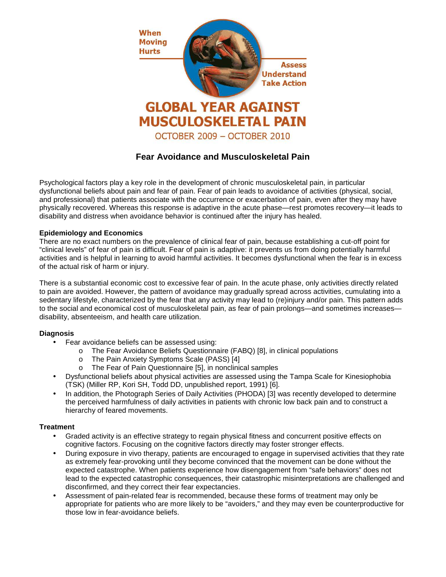

# **Fear Avoidance and Musculoskeletal Pain**

Psychological factors play a key role in the development of chronic musculoskeletal pain, in particular dysfunctional beliefs about pain and fear of pain. Fear of pain leads to avoidance of activities (physical, social, and professional) that patients associate with the occurrence or exacerbation of pain, even after they may have physically recovered. Whereas this response is adaptive in the acute phase—rest promotes recovery—it leads to disability and distress when avoidance behavior is continued after the injury has healed.

## **Epidemiology and Economics**

There are no exact numbers on the prevalence of clinical fear of pain, because establishing a cut-off point for "clinical levels" of fear of pain is difficult. Fear of pain is adaptive: it prevents us from doing potentially harmful activities and is helpful in learning to avoid harmful activities. It becomes dysfunctional when the fear is in excess of the actual risk of harm or injury.

There is a substantial economic cost to excessive fear of pain. In the acute phase, only activities directly related to pain are avoided. However, the pattern of avoidance may gradually spread across activities, cumulating into a sedentary lifestyle, characterized by the fear that any activity may lead to (re)injury and/or pain. This pattern adds to the social and economical cost of musculoskeletal pain, as fear of pain prolongs—and sometimes increases disability, absenteeism, and health care utilization.

### **Diagnosis**

- Fear avoidance beliefs can be assessed using:
	- o The Fear Avoidance Beliefs Questionnaire (FABQ) [8], in clinical populations
	- o The Pain Anxiety Symptoms Scale (PASS) [4]
	- o The Fear of Pain Questionnaire [5], in nonclinical samples
- Dysfunctional beliefs about physical activities are assessed using the Tampa Scale for Kinesiophobia (TSK) (Miller RP, Kori SH, Todd DD, unpublished report, 1991) [6].
- In addition, the Photograph Series of Daily Activities (PHODA) [3] was recently developed to determine the perceived harmfulness of daily activities in patients with chronic low back pain and to construct a hierarchy of feared movements.

### **Treatment**

- Graded activity is an effective strategy to regain physical fitness and concurrent positive effects on cognitive factors. Focusing on the cognitive factors directly may foster stronger effects.
- During exposure in vivo therapy, patients are encouraged to engage in supervised activities that they rate as extremely fear-provoking until they become convinced that the movement can be done without the expected catastrophe. When patients experience how disengagement from "safe behaviors" does not lead to the expected catastrophic consequences, their catastrophic misinterpretations are challenged and disconfirmed, and they correct their fear expectancies.
- Assessment of pain-related fear is recommended, because these forms of treatment may only be appropriate for patients who are more likely to be "avoiders," and they may even be counterproductive for those low in fear-avoidance beliefs.